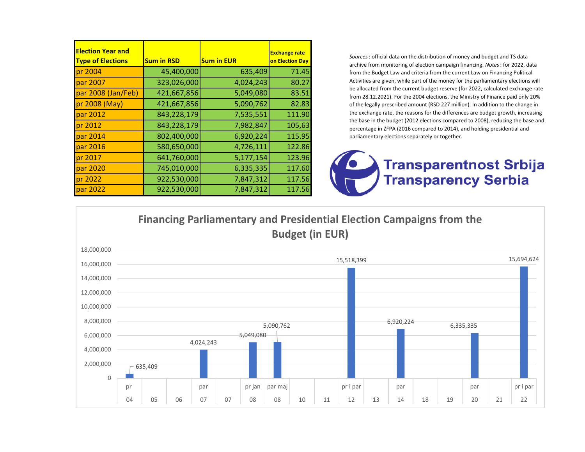| <b>Election Year and</b><br><b>Type of Elections</b> | <b>Sum in RSD</b> | <b>Sum in EUR</b> | <b>Exchange rate</b><br>on Election Day |
|------------------------------------------------------|-------------------|-------------------|-----------------------------------------|
| pr 2004                                              | 45,400,000        | 635,409           | 71.45                                   |
| par 2007                                             | 323,026,000       | 4,024,243         | 80.27                                   |
| par 2008 (Jan/Feb)                                   | 421,667,856       | 5,049,080         | 83.51                                   |
| pr 2008 (May)                                        | 421,667,856       | 5,090,762         | 82.83                                   |
| par 2012                                             | 843,228,179       | 7,535,551         | 111.90                                  |
| pr 2012                                              | 843,228,179       | 7,982,847         | 105,63                                  |
| par 2014                                             | 802,400,000       | 6,920,224         | 115.95                                  |
| par 2016                                             | 580,650,000       | 4,726,111         | 122.86                                  |
| pr 2017                                              | 641,760,000       | 5,177,154         | 123.96                                  |
| par 2020                                             | 745,010,000       | 6,335,335         | 117.60                                  |
| pr 2022                                              | 922,530,000       | 7,847,312         | 117.56                                  |
| par 2022                                             | 922,530,000       | 7,847,312         | 117.56                                  |

*Sources*: official data on the distribution of money and budget and TS data archive from monitoring of election campaign financing. *Notes*: for 2022, data from the Budget Law and criteria from the current Law on Financing Political Activities are given, while part of the money for the parliamentary elections will be allocated from the current budget reserve (for 2022, calculated exchange rate from 28.12.2021). For the 2004 elections, the Ministry of Finance paid only 20% of the legally prescribed amount (RSD 227 million). In addition to the change in the exchange rate, the reasons for the differences are budget growth, increasing the base in the budget (2012 elections compared to 2008), reducing the base and percentage in ZFPA (2016 compared to 2014), and holding presidential and parliamentary elections separately or together.

## **Transparentnost Srbija Transparency Serbia**